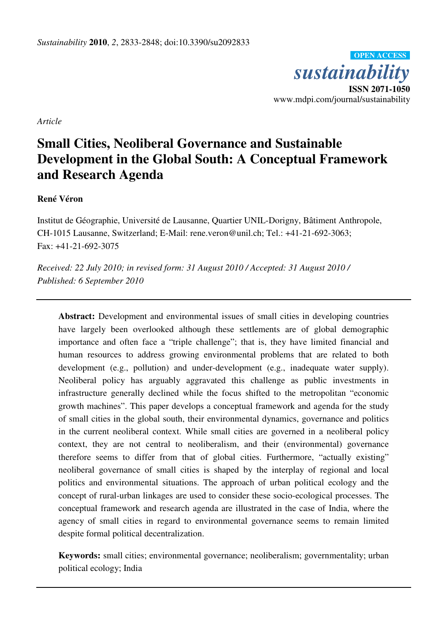*sustainability*  **ISSN 2071-1050**  www.mdpi.com/journal/sustainability **OPEN ACCESS**

*Article* 

# **Small Cities, Neoliberal Governance and Sustainable Development in the Global South: A Conceptual Framework and Research Agenda**

## **René Véron**

Institut de Géographie, Université de Lausanne, Quartier UNIL-Dorigny, Bâtiment Anthropole, CH-1015 Lausanne, Switzerland; E-Mail: rene.veron@unil.ch; Tel.: +41-21-692-3063; Fax: +41-21-692-3075

*Received: 22 July 2010; in revised form: 31 August 2010 / Accepted: 31 August 2010 / Published: 6 September 2010* 

Abstract: Development and environmental issues of small cities in developing countries have largely been overlooked although these settlements are of global demographic importance and often face a "triple challenge"; that is, they have limited financial and human resources to address growing environmental problems that are related to both development (e.g., pollution) and under-development (e.g., inadequate water supply). Neoliberal policy has arguably aggravated this challenge as public investments in infrastructure generally declined while the focus shifted to the metropolitan "economic growth machines". This paper develops a conceptual framework and agenda for the study of small cities in the global south, their environmental dynamics, governance and politics in the current neoliberal context. While small cities are governed in a neoliberal policy context, they are not central to neoliberalism, and their (environmental) governance therefore seems to differ from that of global cities. Furthermore, "actually existing" neoliberal governance of small cities is shaped by the interplay of regional and local politics and environmental situations. The approach of urban political ecology and the concept of rural-urban linkages are used to consider these socio-ecological processes. The conceptual framework and research agenda are illustrated in the case of India, where the agency of small cities in regard to environmental governance seems to remain limited despite formal political decentralization.

**Keywords:** small cities; environmental governance; neoliberalism; governmentality; urban political ecology; India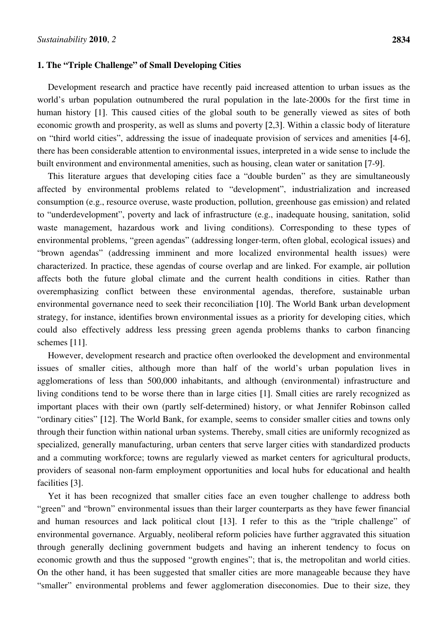#### **1. The "Triple Challenge" of Small Developing Cities**

Development research and practice have recently paid increased attention to urban issues as the world's urban population outnumbered the rural population in the late-2000s for the first time in human history [1]. This caused cities of the global south to be generally viewed as sites of both economic growth and prosperity, as well as slums and poverty [2,3]. Within a classic body of literature on "third world cities", addressing the issue of inadequate provision of services and amenities [4-6], there has been considerable attention to environmental issues, interpreted in a wide sense to include the built environment and environmental amenities, such as housing, clean water or sanitation [7-9].

This literature argues that developing cities face a "double burden" as they are simultaneously affected by environmental problems related to "development", industrialization and increased consumption (e.g., resource overuse, waste production, pollution, greenhouse gas emission) and related to "underdevelopment", poverty and lack of infrastructure (e.g., inadequate housing, sanitation, solid waste management, hazardous work and living conditions). Corresponding to these types of environmental problems, "green agendas" (addressing longer-term, often global, ecological issues) and "brown agendas" (addressing imminent and more localized environmental health issues) were characterized. In practice, these agendas of course overlap and are linked. For example, air pollution affects both the future global climate and the current health conditions in cities. Rather than overemphasizing conflict between these environmental agendas, therefore, sustainable urban environmental governance need to seek their reconciliation [10]. The World Bank urban development strategy, for instance, identifies brown environmental issues as a priority for developing cities, which could also effectively address less pressing green agenda problems thanks to carbon financing schemes [11].

However, development research and practice often overlooked the development and environmental issues of smaller cities, although more than half of the world's urban population lives in agglomerations of less than 500,000 inhabitants, and although (environmental) infrastructure and living conditions tend to be worse there than in large cities [1]. Small cities are rarely recognized as important places with their own (partly self-determined) history, or what Jennifer Robinson called "ordinary cities" [12]. The World Bank, for example, seems to consider smaller cities and towns only through their function within national urban systems. Thereby, small cities are uniformly recognized as specialized, generally manufacturing, urban centers that serve larger cities with standardized products and a commuting workforce; towns are regularly viewed as market centers for agricultural products, providers of seasonal non-farm employment opportunities and local hubs for educational and health facilities [3].

Yet it has been recognized that smaller cities face an even tougher challenge to address both "green" and "brown" environmental issues than their larger counterparts as they have fewer financial and human resources and lack political clout [13]. I refer to this as the "triple challenge" of environmental governance. Arguably, neoliberal reform policies have further aggravated this situation through generally declining government budgets and having an inherent tendency to focus on economic growth and thus the supposed "growth engines"; that is, the metropolitan and world cities. On the other hand, it has been suggested that smaller cities are more manageable because they have "smaller" environmental problems and fewer agglomeration diseconomies. Due to their size, they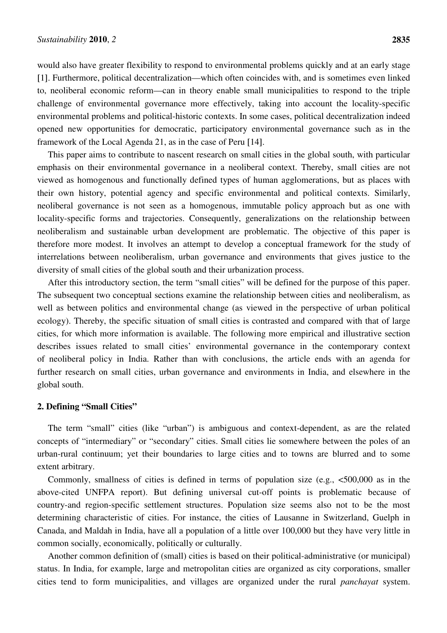would also have greater flexibility to respond to environmental problems quickly and at an early stage [1]. Furthermore, political decentralization—which often coincides with, and is sometimes even linked to, neoliberal economic reform—can in theory enable small municipalities to respond to the triple challenge of environmental governance more effectively, taking into account the locality-specific environmental problems and political-historic contexts. In some cases, political decentralization indeed opened new opportunities for democratic, participatory environmental governance such as in the framework of the Local Agenda 21, as in the case of Peru [14].

This paper aims to contribute to nascent research on small cities in the global south, with particular emphasis on their environmental governance in a neoliberal context. Thereby, small cities are not viewed as homogenous and functionally defined types of human agglomerations, but as places with their own history, potential agency and specific environmental and political contexts. Similarly, neoliberal governance is not seen as a homogenous, immutable policy approach but as one with locality-specific forms and trajectories. Consequently, generalizations on the relationship between neoliberalism and sustainable urban development are problematic. The objective of this paper is therefore more modest. It involves an attempt to develop a conceptual framework for the study of interrelations between neoliberalism, urban governance and environments that gives justice to the diversity of small cities of the global south and their urbanization process.

After this introductory section, the term "small cities" will be defined for the purpose of this paper. The subsequent two conceptual sections examine the relationship between cities and neoliberalism, as well as between politics and environmental change (as viewed in the perspective of urban political ecology). Thereby, the specific situation of small cities is contrasted and compared with that of large cities, for which more information is available. The following more empirical and illustrative section describes issues related to small cities' environmental governance in the contemporary context of neoliberal policy in India. Rather than with conclusions, the article ends with an agenda for further research on small cities, urban governance and environments in India, and elsewhere in the global south.

#### **2. Defining "Small Cities"**

The term "small" cities (like "urban") is ambiguous and context-dependent, as are the related concepts of "intermediary" or "secondary" cities. Small cities lie somewhere between the poles of an urban-rural continuum; yet their boundaries to large cities and to towns are blurred and to some extent arbitrary.

Commonly, smallness of cities is defined in terms of population size (e.g., <500,000 as in the above-cited UNFPA report). But defining universal cut-off points is problematic because of country-and region-specific settlement structures. Population size seems also not to be the most determining characteristic of cities. For instance, the cities of Lausanne in Switzerland, Guelph in Canada, and Maldah in India, have all a population of a little over 100,000 but they have very little in common socially, economically, politically or culturally.

Another common definition of (small) cities is based on their political-administrative (or municipal) status. In India, for example, large and metropolitan cities are organized as city corporations, smaller cities tend to form municipalities, and villages are organized under the rural *panchayat* system.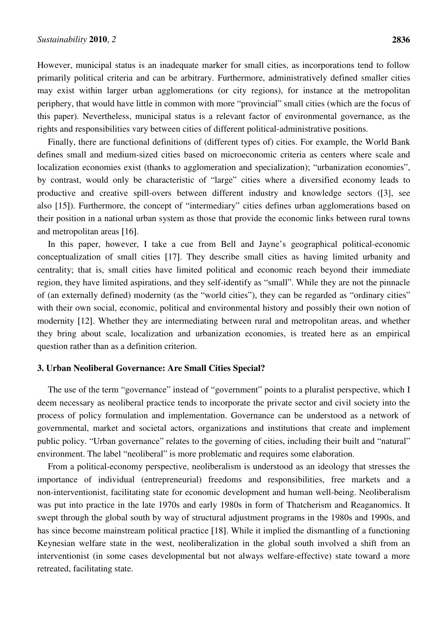However, municipal status is an inadequate marker for small cities, as incorporations tend to follow primarily political criteria and can be arbitrary. Furthermore, administratively defined smaller cities may exist within larger urban agglomerations (or city regions), for instance at the metropolitan periphery, that would have little in common with more "provincial" small cities (which are the focus of this paper). Nevertheless, municipal status is a relevant factor of environmental governance, as the rights and responsibilities vary between cities of different political-administrative positions.

Finally, there are functional definitions of (different types of) cities. For example, the World Bank defines small and medium-sized cities based on microeconomic criteria as centers where scale and localization economies exist (thanks to agglomeration and specialization); "urbanization economies", by contrast, would only be characteristic of "large" cities where a diversified economy leads to productive and creative spill-overs between different industry and knowledge sectors ([3], see also [15]). Furthermore, the concept of "intermediary" cities defines urban agglomerations based on their position in a national urban system as those that provide the economic links between rural towns and metropolitan areas [16].

In this paper, however, I take a cue from Bell and Jayne's geographical political-economic conceptualization of small cities [17]. They describe small cities as having limited urbanity and centrality; that is, small cities have limited political and economic reach beyond their immediate region, they have limited aspirations, and they self-identify as "small". While they are not the pinnacle of (an externally defined) modernity (as the "world cities"), they can be regarded as "ordinary cities" with their own social, economic, political and environmental history and possibly their own notion of modernity [12]. Whether they are intermediating between rural and metropolitan areas, and whether they bring about scale, localization and urbanization economies, is treated here as an empirical question rather than as a definition criterion.

#### **3. Urban Neoliberal Governance: Are Small Cities Special?**

The use of the term "governance" instead of "government" points to a pluralist perspective, which I deem necessary as neoliberal practice tends to incorporate the private sector and civil society into the process of policy formulation and implementation. Governance can be understood as a network of governmental, market and societal actors, organizations and institutions that create and implement public policy. "Urban governance" relates to the governing of cities, including their built and "natural" environment. The label "neoliberal" is more problematic and requires some elaboration.

From a political-economy perspective, neoliberalism is understood as an ideology that stresses the importance of individual (entrepreneurial) freedoms and responsibilities, free markets and a non-interventionist, facilitating state for economic development and human well-being. Neoliberalism was put into practice in the late 1970s and early 1980s in form of Thatcherism and Reaganomics. It swept through the global south by way of structural adjustment programs in the 1980s and 1990s, and has since become mainstream political practice [18]. While it implied the dismantling of a functioning Keynesian welfare state in the west, neoliberalization in the global south involved a shift from an interventionist (in some cases developmental but not always welfare-effective) state toward a more retreated, facilitating state.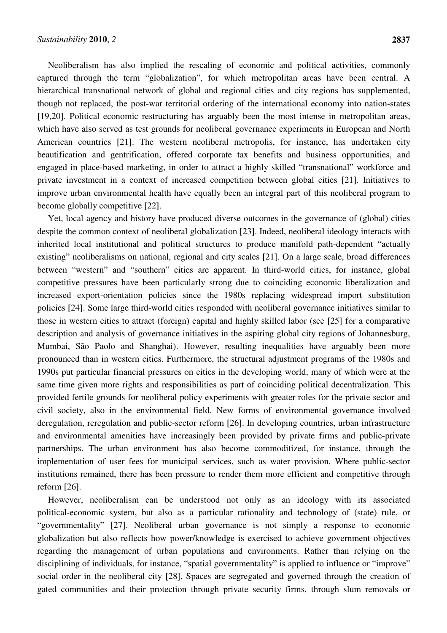Neoliberalism has also implied the rescaling of economic and political activities, commonly captured through the term "globalization", for which metropolitan areas have been central. A hierarchical transnational network of global and regional cities and city regions has supplemented, though not replaced, the post-war territorial ordering of the international economy into nation-states [19,20]. Political economic restructuring has arguably been the most intense in metropolitan areas, which have also served as test grounds for neoliberal governance experiments in European and North American countries [21]. The western neoliberal metropolis, for instance, has undertaken city beautification and gentrification, offered corporate tax benefits and business opportunities, and engaged in place-based marketing, in order to attract a highly skilled "transnational" workforce and private investment in a context of increased competition between global cities [21]. Initiatives to improve urban environmental health have equally been an integral part of this neoliberal program to become globally competitive [22].

Yet, local agency and history have produced diverse outcomes in the governance of (global) cities despite the common context of neoliberal globalization [23]. Indeed, neoliberal ideology interacts with inherited local institutional and political structures to produce manifold path-dependent "actually existing" neoliberalisms on national, regional and city scales [21]. On a large scale, broad differences between "western" and "southern" cities are apparent. In third-world cities, for instance, global competitive pressures have been particularly strong due to coinciding economic liberalization and increased export-orientation policies since the 1980s replacing widespread import substitution policies [24]. Some large third-world cities responded with neoliberal governance initiatives similar to those in western cities to attract (foreign) capital and highly skilled labor (see [25] for a comparative description and analysis of governance initiatives in the aspiring global city regions of Johannesburg, Mumbai, São Paolo and Shanghai). However, resulting inequalities have arguably been more pronounced than in western cities. Furthermore, the structural adjustment programs of the 1980s and 1990s put particular financial pressures on cities in the developing world, many of which were at the same time given more rights and responsibilities as part of coinciding political decentralization. This provided fertile grounds for neoliberal policy experiments with greater roles for the private sector and civil society, also in the environmental field. New forms of environmental governance involved deregulation, reregulation and public-sector reform [26]. In developing countries, urban infrastructure and environmental amenities have increasingly been provided by private firms and public-private partnerships. The urban environment has also become commoditized, for instance, through the implementation of user fees for municipal services, such as water provision. Where public-sector institutions remained, there has been pressure to render them more efficient and competitive through reform [26].

However, neoliberalism can be understood not only as an ideology with its associated political-economic system, but also as a particular rationality and technology of (state) rule, or "governmentality" [27]. Neoliberal urban governance is not simply a response to economic globalization but also reflects how power/knowledge is exercised to achieve government objectives regarding the management of urban populations and environments. Rather than relying on the disciplining of individuals, for instance, "spatial governmentality" is applied to influence or "improve" social order in the neoliberal city [28]. Spaces are segregated and governed through the creation of gated communities and their protection through private security firms, through slum removals or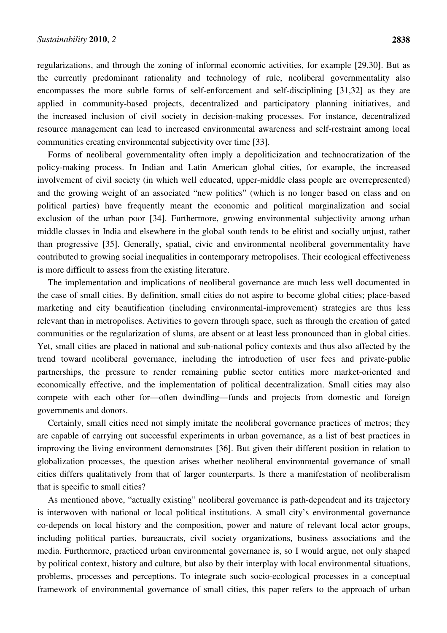regularizations, and through the zoning of informal economic activities, for example [29,30]. But as the currently predominant rationality and technology of rule, neoliberal governmentality also encompasses the more subtle forms of self-enforcement and self-disciplining [31,32] as they are applied in community-based projects, decentralized and participatory planning initiatives, and the increased inclusion of civil society in decision-making processes. For instance, decentralized resource management can lead to increased environmental awareness and self-restraint among local communities creating environmental subjectivity over time [33].

Forms of neoliberal governmentality often imply a depoliticization and technocratization of the policy-making process. In Indian and Latin American global cities, for example, the increased involvement of civil society (in which well educated, upper-middle class people are overrepresented) and the growing weight of an associated "new politics" (which is no longer based on class and on political parties) have frequently meant the economic and political marginalization and social exclusion of the urban poor [34]. Furthermore, growing environmental subjectivity among urban middle classes in India and elsewhere in the global south tends to be elitist and socially unjust, rather than progressive [35]. Generally, spatial, civic and environmental neoliberal governmentality have contributed to growing social inequalities in contemporary metropolises. Their ecological effectiveness is more difficult to assess from the existing literature.

The implementation and implications of neoliberal governance are much less well documented in the case of small cities. By definition, small cities do not aspire to become global cities; place-based marketing and city beautification (including environmental-improvement) strategies are thus less relevant than in metropolises. Activities to govern through space, such as through the creation of gated communities or the regularization of slums, are absent or at least less pronounced than in global cities. Yet, small cities are placed in national and sub-national policy contexts and thus also affected by the trend toward neoliberal governance, including the introduction of user fees and private-public partnerships, the pressure to render remaining public sector entities more market-oriented and economically effective, and the implementation of political decentralization. Small cities may also compete with each other for—often dwindling—funds and projects from domestic and foreign governments and donors.

Certainly, small cities need not simply imitate the neoliberal governance practices of metros; they are capable of carrying out successful experiments in urban governance, as a list of best practices in improving the living environment demonstrates [36]. But given their different position in relation to globalization processes, the question arises whether neoliberal environmental governance of small cities differs qualitatively from that of larger counterparts. Is there a manifestation of neoliberalism that is specific to small cities?

As mentioned above, "actually existing" neoliberal governance is path-dependent and its trajectory is interwoven with national or local political institutions. A small city's environmental governance co-depends on local history and the composition, power and nature of relevant local actor groups, including political parties, bureaucrats, civil society organizations, business associations and the media. Furthermore, practiced urban environmental governance is, so I would argue, not only shaped by political context, history and culture, but also by their interplay with local environmental situations, problems, processes and perceptions. To integrate such socio-ecological processes in a conceptual framework of environmental governance of small cities, this paper refers to the approach of urban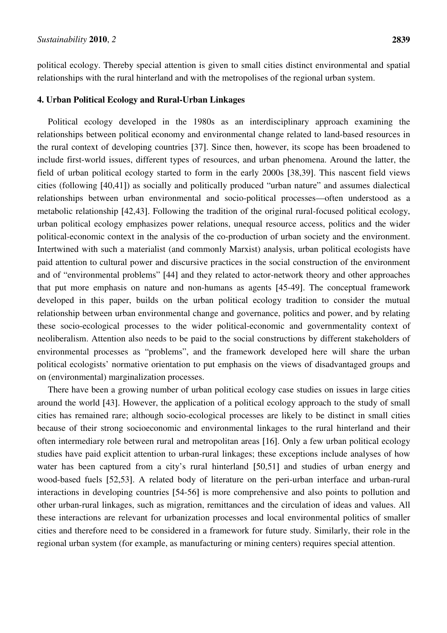political ecology. Thereby special attention is given to small cities distinct environmental and spatial relationships with the rural hinterland and with the metropolises of the regional urban system.

#### **4. Urban Political Ecology and Rural-Urban Linkages**

Political ecology developed in the 1980s as an interdisciplinary approach examining the relationships between political economy and environmental change related to land-based resources in the rural context of developing countries [37]. Since then, however, its scope has been broadened to include first-world issues, different types of resources, and urban phenomena. Around the latter, the field of urban political ecology started to form in the early 2000s [38,39]. This nascent field views cities (following [40,41]) as socially and politically produced "urban nature" and assumes dialectical relationships between urban environmental and socio-political processes—often understood as a metabolic relationship [42,43]. Following the tradition of the original rural-focused political ecology, urban political ecology emphasizes power relations, unequal resource access, politics and the wider political-economic context in the analysis of the co-production of urban society and the environment. Intertwined with such a materialist (and commonly Marxist) analysis, urban political ecologists have paid attention to cultural power and discursive practices in the social construction of the environment and of "environmental problems" [44] and they related to actor-network theory and other approaches that put more emphasis on nature and non-humans as agents [45-49]. The conceptual framework developed in this paper, builds on the urban political ecology tradition to consider the mutual relationship between urban environmental change and governance, politics and power, and by relating these socio-ecological processes to the wider political-economic and governmentality context of neoliberalism. Attention also needs to be paid to the social constructions by different stakeholders of environmental processes as "problems", and the framework developed here will share the urban political ecologists' normative orientation to put emphasis on the views of disadvantaged groups and on (environmental) marginalization processes.

There have been a growing number of urban political ecology case studies on issues in large cities around the world [43]. However, the application of a political ecology approach to the study of small cities has remained rare; although socio-ecological processes are likely to be distinct in small cities because of their strong socioeconomic and environmental linkages to the rural hinterland and their often intermediary role between rural and metropolitan areas [16]. Only a few urban political ecology studies have paid explicit attention to urban-rural linkages; these exceptions include analyses of how water has been captured from a city's rural hinterland [50,51] and studies of urban energy and wood-based fuels [52,53]. A related body of literature on the peri-urban interface and urban-rural interactions in developing countries [54-56] is more comprehensive and also points to pollution and other urban-rural linkages, such as migration, remittances and the circulation of ideas and values. All these interactions are relevant for urbanization processes and local environmental politics of smaller cities and therefore need to be considered in a framework for future study. Similarly, their role in the regional urban system (for example, as manufacturing or mining centers) requires special attention.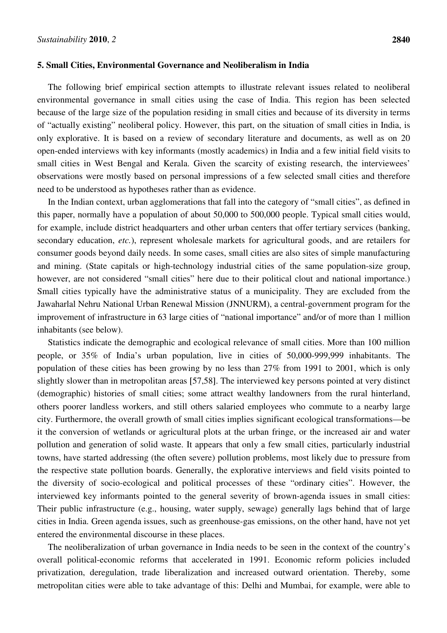#### **5. Small Cities, Environmental Governance and Neoliberalism in India**

The following brief empirical section attempts to illustrate relevant issues related to neoliberal environmental governance in small cities using the case of India. This region has been selected because of the large size of the population residing in small cities and because of its diversity in terms of "actually existing" neoliberal policy. However, this part, on the situation of small cities in India, is only explorative. It is based on a review of secondary literature and documents, as well as on 20 open-ended interviews with key informants (mostly academics) in India and a few initial field visits to small cities in West Bengal and Kerala. Given the scarcity of existing research, the interviewees' observations were mostly based on personal impressions of a few selected small cities and therefore need to be understood as hypotheses rather than as evidence.

In the Indian context, urban agglomerations that fall into the category of "small cities", as defined in this paper, normally have a population of about 50,000 to 500,000 people. Typical small cities would, for example, include district headquarters and other urban centers that offer tertiary services (banking, secondary education, *etc.*), represent wholesale markets for agricultural goods, and are retailers for consumer goods beyond daily needs. In some cases, small cities are also sites of simple manufacturing and mining. (State capitals or high-technology industrial cities of the same population-size group, however, are not considered "small cities" here due to their political clout and national importance.) Small cities typically have the administrative status of a municipality. They are excluded from the Jawaharlal Nehru National Urban Renewal Mission (JNNURM), a central-government program for the improvement of infrastructure in 63 large cities of "national importance" and/or of more than 1 million inhabitants (see below).

Statistics indicate the demographic and ecological relevance of small cities. More than 100 million people, or 35% of India's urban population, live in cities of 50,000-999,999 inhabitants. The population of these cities has been growing by no less than 27% from 1991 to 2001, which is only slightly slower than in metropolitan areas [57,58]. The interviewed key persons pointed at very distinct (demographic) histories of small cities; some attract wealthy landowners from the rural hinterland, others poorer landless workers, and still others salaried employees who commute to a nearby large city. Furthermore, the overall growth of small cities implies significant ecological transformations—be it the conversion of wetlands or agricultural plots at the urban fringe, or the increased air and water pollution and generation of solid waste. It appears that only a few small cities, particularly industrial towns, have started addressing (the often severe) pollution problems, most likely due to pressure from the respective state pollution boards. Generally, the explorative interviews and field visits pointed to the diversity of socio-ecological and political processes of these "ordinary cities". However, the interviewed key informants pointed to the general severity of brown-agenda issues in small cities: Their public infrastructure (e.g., housing, water supply, sewage) generally lags behind that of large cities in India. Green agenda issues, such as greenhouse-gas emissions, on the other hand, have not yet entered the environmental discourse in these places.

The neoliberalization of urban governance in India needs to be seen in the context of the country's overall political-economic reforms that accelerated in 1991. Economic reform policies included privatization, deregulation, trade liberalization and increased outward orientation. Thereby, some metropolitan cities were able to take advantage of this: Delhi and Mumbai, for example, were able to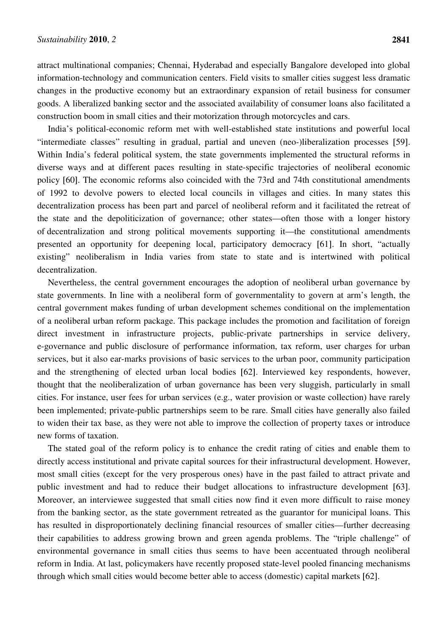attract multinational companies; Chennai, Hyderabad and especially Bangalore developed into global information-technology and communication centers. Field visits to smaller cities suggest less dramatic changes in the productive economy but an extraordinary expansion of retail business for consumer goods. A liberalized banking sector and the associated availability of consumer loans also facilitated a construction boom in small cities and their motorization through motorcycles and cars.

India's political-economic reform met with well-established state institutions and powerful local "intermediate classes" resulting in gradual, partial and uneven (neo-)liberalization processes [59]. Within India's federal political system, the state governments implemented the structural reforms in diverse ways and at different paces resulting in state-specific trajectories of neoliberal economic policy [60]. The economic reforms also coincided with the 73rd and 74th constitutional amendments of 1992 to devolve powers to elected local councils in villages and cities. In many states this decentralization process has been part and parcel of neoliberal reform and it facilitated the retreat of the state and the depoliticization of governance; other states—often those with a longer history of decentralization and strong political movements supporting it—the constitutional amendments presented an opportunity for deepening local, participatory democracy [61]. In short, "actually existing" neoliberalism in India varies from state to state and is intertwined with political decentralization.

Nevertheless, the central government encourages the adoption of neoliberal urban governance by state governments. In line with a neoliberal form of governmentality to govern at arm's length, the central government makes funding of urban development schemes conditional on the implementation of a neoliberal urban reform package. This package includes the promotion and facilitation of foreign direct investment in infrastructure projects, public-private partnerships in service delivery, e-governance and public disclosure of performance information, tax reform, user charges for urban services, but it also ear-marks provisions of basic services to the urban poor, community participation and the strengthening of elected urban local bodies [62]. Interviewed key respondents, however, thought that the neoliberalization of urban governance has been very sluggish, particularly in small cities. For instance, user fees for urban services (e.g., water provision or waste collection) have rarely been implemented; private-public partnerships seem to be rare. Small cities have generally also failed to widen their tax base, as they were not able to improve the collection of property taxes or introduce new forms of taxation.

The stated goal of the reform policy is to enhance the credit rating of cities and enable them to directly access institutional and private capital sources for their infrastructural development. However, most small cities (except for the very prosperous ones) have in the past failed to attract private and public investment and had to reduce their budget allocations to infrastructure development [63]. Moreover, an interviewee suggested that small cities now find it even more difficult to raise money from the banking sector, as the state government retreated as the guarantor for municipal loans. This has resulted in disproportionately declining financial resources of smaller cities—further decreasing their capabilities to address growing brown and green agenda problems. The "triple challenge" of environmental governance in small cities thus seems to have been accentuated through neoliberal reform in India. At last, policymakers have recently proposed state-level pooled financing mechanisms through which small cities would become better able to access (domestic) capital markets [62].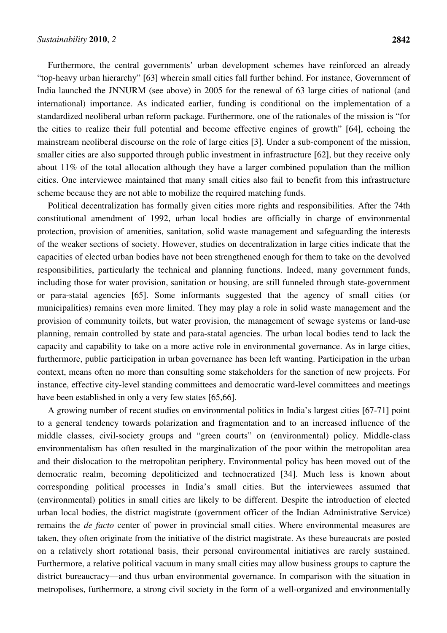Furthermore, the central governments' urban development schemes have reinforced an already "top-heavy urban hierarchy" [63] wherein small cities fall further behind. For instance, Government of India launched the JNNURM (see above) in 2005 for the renewal of 63 large cities of national (and international) importance. As indicated earlier, funding is conditional on the implementation of a standardized neoliberal urban reform package. Furthermore, one of the rationales of the mission is "for the cities to realize their full potential and become effective engines of growth" [64], echoing the mainstream neoliberal discourse on the role of large cities [3]. Under a sub-component of the mission, smaller cities are also supported through public investment in infrastructure [62], but they receive only about 11% of the total allocation although they have a larger combined population than the million cities. One interviewee maintained that many small cities also fail to benefit from this infrastructure scheme because they are not able to mobilize the required matching funds.

Political decentralization has formally given cities more rights and responsibilities. After the 74th constitutional amendment of 1992, urban local bodies are officially in charge of environmental protection, provision of amenities, sanitation, solid waste management and safeguarding the interests of the weaker sections of society. However, studies on decentralization in large cities indicate that the capacities of elected urban bodies have not been strengthened enough for them to take on the devolved responsibilities, particularly the technical and planning functions. Indeed, many government funds, including those for water provision, sanitation or housing, are still funneled through state-government or para-statal agencies [65]. Some informants suggested that the agency of small cities (or municipalities) remains even more limited. They may play a role in solid waste management and the provision of community toilets, but water provision, the management of sewage systems or land-use planning, remain controlled by state and para-statal agencies. The urban local bodies tend to lack the capacity and capability to take on a more active role in environmental governance. As in large cities, furthermore, public participation in urban governance has been left wanting. Participation in the urban context, means often no more than consulting some stakeholders for the sanction of new projects. For instance, effective city-level standing committees and democratic ward-level committees and meetings have been established in only a very few states [65,66].

A growing number of recent studies on environmental politics in India's largest cities [67-71] point to a general tendency towards polarization and fragmentation and to an increased influence of the middle classes, civil-society groups and "green courts" on (environmental) policy. Middle-class environmentalism has often resulted in the marginalization of the poor within the metropolitan area and their dislocation to the metropolitan periphery. Environmental policy has been moved out of the democratic realm, becoming depoliticized and technocratized [34]. Much less is known about corresponding political processes in India's small cities. But the interviewees assumed that (environmental) politics in small cities are likely to be different. Despite the introduction of elected urban local bodies, the district magistrate (government officer of the Indian Administrative Service) remains the *de facto* center of power in provincial small cities. Where environmental measures are taken, they often originate from the initiative of the district magistrate. As these bureaucrats are posted on a relatively short rotational basis, their personal environmental initiatives are rarely sustained. Furthermore, a relative political vacuum in many small cities may allow business groups to capture the district bureaucracy—and thus urban environmental governance. In comparison with the situation in metropolises, furthermore, a strong civil society in the form of a well-organized and environmentally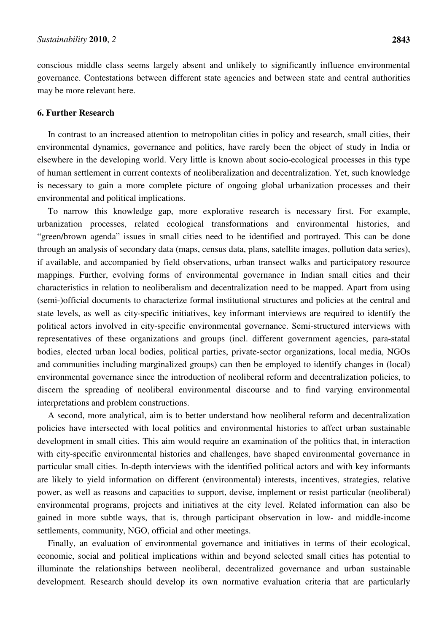conscious middle class seems largely absent and unlikely to significantly influence environmental governance. Contestations between different state agencies and between state and central authorities may be more relevant here.

#### **6. Further Research**

In contrast to an increased attention to metropolitan cities in policy and research, small cities, their environmental dynamics, governance and politics, have rarely been the object of study in India or elsewhere in the developing world. Very little is known about socio-ecological processes in this type of human settlement in current contexts of neoliberalization and decentralization. Yet, such knowledge is necessary to gain a more complete picture of ongoing global urbanization processes and their environmental and political implications.

To narrow this knowledge gap, more explorative research is necessary first. For example, urbanization processes, related ecological transformations and environmental histories, and "green/brown agenda" issues in small cities need to be identified and portrayed. This can be done through an analysis of secondary data (maps, census data, plans, satellite images, pollution data series), if available, and accompanied by field observations, urban transect walks and participatory resource mappings. Further, evolving forms of environmental governance in Indian small cities and their characteristics in relation to neoliberalism and decentralization need to be mapped. Apart from using (semi-)official documents to characterize formal institutional structures and policies at the central and state levels, as well as city-specific initiatives, key informant interviews are required to identify the political actors involved in city-specific environmental governance. Semi-structured interviews with representatives of these organizations and groups (incl. different government agencies, para-statal bodies, elected urban local bodies, political parties, private-sector organizations, local media, NGOs and communities including marginalized groups) can then be employed to identify changes in (local) environmental governance since the introduction of neoliberal reform and decentralization policies, to discern the spreading of neoliberal environmental discourse and to find varying environmental interpretations and problem constructions.

A second, more analytical, aim is to better understand how neoliberal reform and decentralization policies have intersected with local politics and environmental histories to affect urban sustainable development in small cities. This aim would require an examination of the politics that, in interaction with city-specific environmental histories and challenges, have shaped environmental governance in particular small cities. In-depth interviews with the identified political actors and with key informants are likely to yield information on different (environmental) interests, incentives, strategies, relative power, as well as reasons and capacities to support, devise, implement or resist particular (neoliberal) environmental programs, projects and initiatives at the city level. Related information can also be gained in more subtle ways, that is, through participant observation in low- and middle-income settlements, community, NGO, official and other meetings.

Finally, an evaluation of environmental governance and initiatives in terms of their ecological, economic, social and political implications within and beyond selected small cities has potential to illuminate the relationships between neoliberal, decentralized governance and urban sustainable development. Research should develop its own normative evaluation criteria that are particularly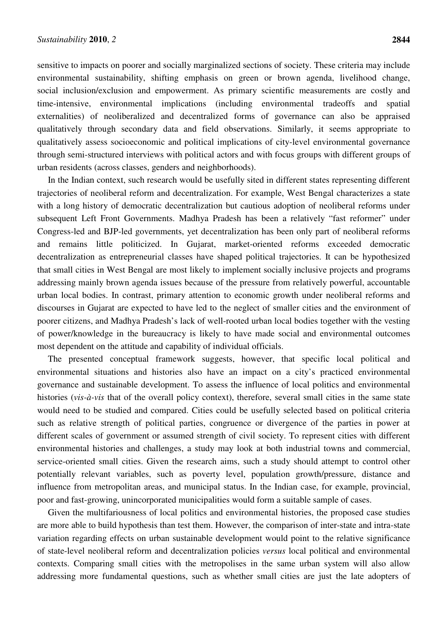sensitive to impacts on poorer and socially marginalized sections of society. These criteria may include environmental sustainability, shifting emphasis on green or brown agenda, livelihood change, social inclusion/exclusion and empowerment. As primary scientific measurements are costly and time-intensive, environmental implications (including environmental tradeoffs and spatial externalities) of neoliberalized and decentralized forms of governance can also be appraised qualitatively through secondary data and field observations. Similarly, it seems appropriate to qualitatively assess socioeconomic and political implications of city-level environmental governance through semi-structured interviews with political actors and with focus groups with different groups of urban residents (across classes, genders and neighborhoods).

In the Indian context, such research would be usefully sited in different states representing different trajectories of neoliberal reform and decentralization. For example, West Bengal characterizes a state with a long history of democratic decentralization but cautious adoption of neoliberal reforms under subsequent Left Front Governments. Madhya Pradesh has been a relatively "fast reformer" under Congress-led and BJP-led governments, yet decentralization has been only part of neoliberal reforms and remains little politicized. In Gujarat, market-oriented reforms exceeded democratic decentralization as entrepreneurial classes have shaped political trajectories. It can be hypothesized that small cities in West Bengal are most likely to implement socially inclusive projects and programs addressing mainly brown agenda issues because of the pressure from relatively powerful, accountable urban local bodies. In contrast, primary attention to economic growth under neoliberal reforms and discourses in Gujarat are expected to have led to the neglect of smaller cities and the environment of poorer citizens, and Madhya Pradesh's lack of well-rooted urban local bodies together with the vesting of power/knowledge in the bureaucracy is likely to have made social and environmental outcomes most dependent on the attitude and capability of individual officials.

The presented conceptual framework suggests, however, that specific local political and environmental situations and histories also have an impact on a city's practiced environmental governance and sustainable development. To assess the influence of local politics and environmental histories (*vis-à-vis* that of the overall policy context), therefore, several small cities in the same state would need to be studied and compared. Cities could be usefully selected based on political criteria such as relative strength of political parties, congruence or divergence of the parties in power at different scales of government or assumed strength of civil society. To represent cities with different environmental histories and challenges, a study may look at both industrial towns and commercial, service-oriented small cities. Given the research aims, such a study should attempt to control other potentially relevant variables, such as poverty level, population growth/pressure, distance and influence from metropolitan areas, and municipal status. In the Indian case, for example, provincial, poor and fast-growing, unincorporated municipalities would form a suitable sample of cases.

Given the multifariousness of local politics and environmental histories, the proposed case studies are more able to build hypothesis than test them. However, the comparison of inter-state and intra-state variation regarding effects on urban sustainable development would point to the relative significance of state-level neoliberal reform and decentralization policies *versus* local political and environmental contexts. Comparing small cities with the metropolises in the same urban system will also allow addressing more fundamental questions, such as whether small cities are just the late adopters of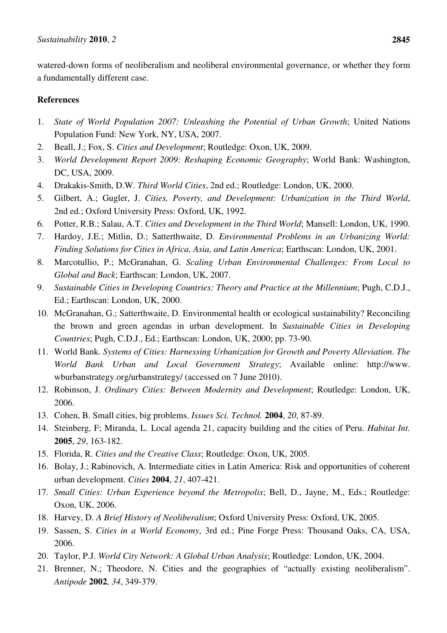watered-down forms of neoliberalism and neoliberal environmental governance, or whether they form a fundamentally different case.

### **References**

- 1. *State of World Population 2007: Unleashing the Potential of Urban Growth*; United Nations Population Fund: New York, NY, USA, 2007.
- 2. Beall, J.; Fox, S. *Cities and Development*; Routledge: Oxon, UK, 2009.
- 3. *World Development Report 2009: Reshaping Economic Geography*; World Bank: Washington, DC, USA, 2009.
- 4. Drakakis-Smith, D.W. *Third World Cities*, 2nd ed.; Routledge: London, UK, 2000.
- 5. Gilbert, A.; Gugler, J. *Cities, Poverty, and Development: Urbanization in the Third World*, 2nd ed.; Oxford University Press: Oxford, UK, 1992.
- 6. Potter, R.B.; Salau, A.T. *Cities and Development in the Third World*; Mansell: London, UK, 1990.
- 7. Hardoy, J.E.; Mitlin, D.; Satterthwaite, D. *Environmental Problems in an Urbanizing World: Finding Solutions for Cities in Africa, Asia, and Latin America*; Earthscan: London, UK, 2001.
- 8. Marcotullio, P.; McGranahan, G. *Scaling Urban Environmental Challenges: From Local to Global and Back*; Earthscan: London, UK, 2007.
- 9. *Sustainable Cities in Developing Countries: Theory and Practice at the Millennium*; Pugh, C.D.J., Ed.; Earthscan: London, UK, 2000.
- 10. McGranahan, G.; Satterthwaite, D. Environmental health or ecological sustainability? Reconciling the brown and green agendas in urban development. In *Sustainable Cities in Developing Countries*; Pugh, C.D.J., Ed.; Earthscan: London, UK, 2000; pp. 73-90.
- 11. World Bank. *Systems of Cities: Harnessing Urbanization for Growth and Poverty Alleviation*. *The World Bank Urban and Local Government Strategy*; Available online: http://www. wburbanstrategy.org/urbanstrategy/ (accessed on 7 June 2010).
- 12. Robinson, J. *Ordinary Cities: Between Modernity and Development*; Routledge: London, UK, 2006.
- 13. Cohen, B. Small cities, big problems. *Issues Sci. Technol.* **2004**, *20*, 87-89.
- 14. Steinberg, F; Miranda, L. Local agenda 21, capacity building and the cities of Peru. *Habitat Int.*  **2005**, *29*, 163-182.
- 15. Florida, R. *Cities and the Creative Class*; Routledge: Oxon, UK, 2005.
- 16. Bolay, J.; Rabinovich, A. Intermediate cities in Latin America: Risk and opportunities of coherent urban development. *Cities* **2004**, *21*, 407-421.
- 17. *Small Cities: Urban Experience beyond the Metropolis*; Bell, D., Jayne, M., Eds.; Routledge: Oxon, UK, 2006.
- 18. Harvey, D. *A Brief History of Neoliberalism*; Oxford University Press: Oxford, UK, 2005.
- 19. Sassen, S. *Cities in a World Economy*, 3rd ed.; Pine Forge Press: Thousand Oaks, CA, USA, 2006.
- 20. Taylor, P.J. *World City Network: A Global Urban Analysis*; Routledge: London, UK, 2004.
- 21. Brenner, N.; Theodore, N. Cities and the geographies of "actually existing neoliberalism". *Antipode* **2002**, *34*, 349-379.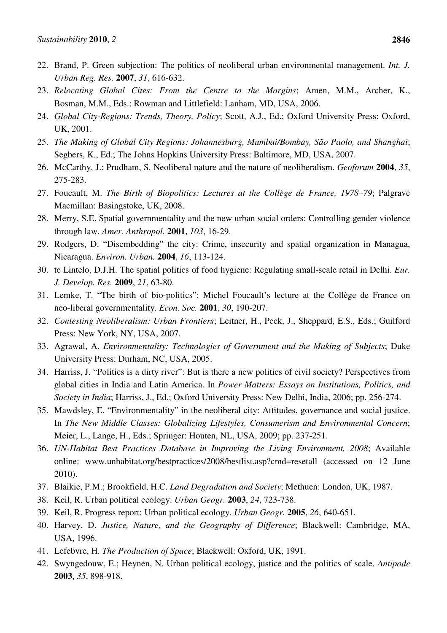- 22. Brand, P. Green subjection: The politics of neoliberal urban environmental management. *Int. J. Urban Reg. Res.* **2007**, *31*, 616-632.
- 23. *Relocating Global Cites: From the Centre to the Margins*; Amen, M.M., Archer, K., Bosman, M.M., Eds.; Rowman and Littlefield: Lanham, MD, USA, 2006.
- 24. *Global City-Regions: Trends, Theory, Policy*; Scott, A.J., Ed.; Oxford University Press: Oxford, UK, 2001.
- 25. *The Making of Global City Regions: Johannesburg, Mumbai/Bombay, São Paolo, and Shanghai*; Segbers, K., Ed.; The Johns Hopkins University Press: Baltimore, MD, USA, 2007.
- 26. McCarthy, J.; Prudham, S. Neoliberal nature and the nature of neoliberalism. *Geoforum* **2004**, *35*, 275-283.
- 27. Foucault, M. *The Birth of Biopolitics: Lectures at the Collège de France, 1978–79*; Palgrave Macmillan: Basingstoke, UK, 2008.
- 28. Merry, S.E. Spatial governmentality and the new urban social orders: Controlling gender violence through law. *Amer. Anthropol.* **2001**, *103*, 16-29.
- 29. Rodgers, D. "Disembedding" the city: Crime, insecurity and spatial organization in Managua, Nicaragua. *Environ. Urban.* **2004**, *16*, 113-124.
- 30. te Lintelo, D.J.H. The spatial politics of food hygiene: Regulating small-scale retail in Delhi. *Eur. J. Develop. Res.* **2009**, *21*, 63-80.
- 31. Lemke, T. "The birth of bio-politics": Michel Foucault's lecture at the Collège de France on neo-liberal governmentality. *Econ. Soc.* **2001**, *30*, 190-207.
- 32. *Contesting Neoliberalism: Urban Frontiers*; Leitner, H., Peck, J., Sheppard, E.S., Eds.; Guilford Press: New York, NY, USA, 2007.
- 33. Agrawal, A. *Environmentality: Technologies of Government and the Making of Subjects*; Duke University Press: Durham, NC, USA, 2005.
- 34. Harriss, J. "Politics is a dirty river": But is there a new politics of civil society? Perspectives from global cities in India and Latin America. In *Power Matters: Essays on Institutions, Politics, and Society in India*; Harriss, J., Ed.; Oxford University Press: New Delhi, India, 2006; pp. 256-274.
- 35. Mawdsley, E. "Environmentality" in the neoliberal city: Attitudes, governance and social justice. In *The New Middle Classes: Globalizing Lifestyles, Consumerism and Environmental Concern*; Meier, L., Lange, H., Eds.; Springer: Houten, NL, USA, 2009; pp. 237-251.
- 36. *UN-Habitat Best Practices Database in Improving the Living Environment, 2008*; Available online: www.unhabitat.org/bestpractices/2008/bestlist.asp?cmd=resetall (accessed on 12 June 2010).
- 37. Blaikie, P.M.; Brookfield, H.C. *Land Degradation and Society*; Methuen: London, UK, 1987.
- 38. Keil, R. Urban political ecology. *Urban Geogr.* **2003**, *24*, 723-738.
- 39. Keil, R. Progress report: Urban political ecology. *Urban Geogr.* **2005**, *26*, 640-651.
- 40. Harvey, D. *Justice, Nature, and the Geography of Difference*; Blackwell: Cambridge, MA, USA, 1996.
- 41. Lefebvre, H. *The Production of Space*; Blackwell: Oxford, UK, 1991.
- 42. Swyngedouw, E.; Heynen, N. Urban political ecology, justice and the politics of scale. *Antipode*  **2003**, *35*, 898-918.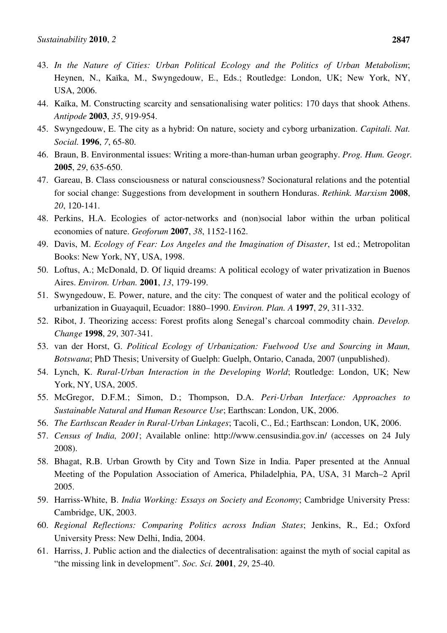- 43. *In the Nature of Cities: Urban Political Ecology and the Politics of Urban Metabolism*; Heynen, N., Kaïka, M., Swyngedouw, E., Eds.; Routledge: London, UK; New York, NY, USA, 2006.
- 44. Kaïka, M. Constructing scarcity and sensationalising water politics: 170 days that shook Athens. *Antipode* **2003**, *35*, 919-954.
- 45. Swyngedouw, E. The city as a hybrid: On nature, society and cyborg urbanization. *Capitali. Nat. Social.* **1996**, *7*, 65-80.
- 46. Braun, B. Environmental issues: Writing a more-than-human urban geography. *Prog. Hum. Geogr.*  **2005**, *29*, 635-650.
- 47. Gareau, B. Class consciousness or natural consciousness? Socionatural relations and the potential for social change: Suggestions from development in southern Honduras. *Rethink. Marxism* **2008**, *20*, 120-141.
- 48. Perkins, H.A. Ecologies of actor-networks and (non)social labor within the urban political economies of nature. *Geoforum* **2007**, *38*, 1152-1162.
- 49. Davis, M. *Ecology of Fear: Los Angeles and the Imagination of Disaster*, 1st ed.; Metropolitan Books: New York, NY, USA, 1998.
- 50. Loftus, A.; McDonald, D. Of liquid dreams: A political ecology of water privatization in Buenos Aires. *Environ. Urban.* **2001**, *13*, 179-199.
- 51. Swyngedouw, E. Power, nature, and the city: The conquest of water and the political ecology of urbanization in Guayaquil, Ecuador: 1880–1990. *Environ. Plan. A* **1997**, *29*, 311-332.
- 52. Ribot, J. Theorizing access: Forest profits along Senegal's charcoal commodity chain. *Develop. Change* **1998**, *29*, 307-341.
- 53. van der Horst, G. *Political Ecology of Urbanization: Fuelwood Use and Sourcing in Maun, Botswana*; PhD Thesis; University of Guelph: Guelph, Ontario, Canada, 2007 (unpublished).
- 54. Lynch, K. *Rural-Urban Interaction in the Developing World*; Routledge: London, UK; New York, NY, USA, 2005.
- 55. McGregor, D.F.M.; Simon, D.; Thompson, D.A. *Peri-Urban Interface: Approaches to Sustainable Natural and Human Resource Use*; Earthscan: London, UK, 2006.
- 56. *The Earthscan Reader in Rural-Urban Linkages*; Tacoli, C., Ed.; Earthscan: London, UK, 2006.
- 57. *Census of India, 2001*; Available online: http://www.censusindia.gov.in/ (accesses on 24 July 2008).
- 58. Bhagat, R.B. Urban Growth by City and Town Size in India. Paper presented at the Annual Meeting of the Population Association of America, Philadelphia, PA, USA, 31 March–2 April 2005.
- 59. Harriss-White, B. *India Working: Essays on Society and Economy*; Cambridge University Press: Cambridge, UK, 2003.
- 60. *Regional Reflections: Comparing Politics across Indian States*; Jenkins, R., Ed.; Oxford University Press: New Delhi, India, 2004.
- 61. Harriss, J. Public action and the dialectics of decentralisation: against the myth of social capital as "the missing link in development". *Soc. Sci.* **2001**, *29*, 25-40.